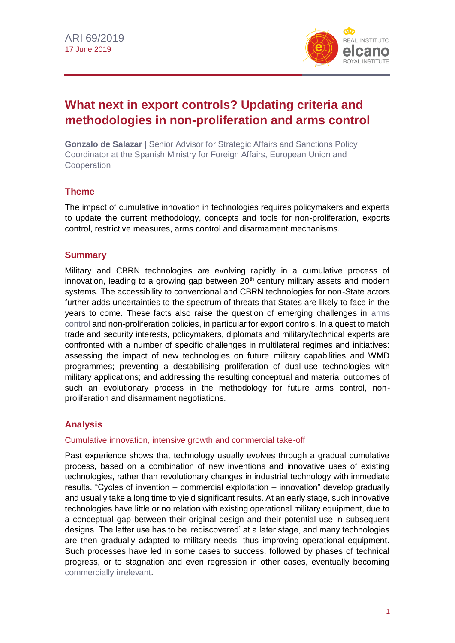

# **What next in export controls? Updating criteria and methodologies in non-proliferation and arms control**

**Gonzalo de Salazar** | Senior Advisor for Strategic Affairs and Sanctions Policy Coordinator at the Spanish Ministry for Foreign Affairs, European Union and **Cooperation** 

# **Theme**

The impact of cumulative innovation in technologies requires policymakers and experts to update the current methodology, concepts and tools for non-proliferation, exports control, restrictive measures, arms control and disarmament mechanisms.

# **Summary**

Military and CBRN technologies are evolving rapidly in a cumulative process of innovation, leading to a growing gap between  $20<sup>th</sup>$  century military assets and modern systems. The accessibility to conventional and CBRN technologies for non-State actors further adds uncertainties to the spectrum of threats that States are likely to face in the years to come. These facts also raise the question of emerging challenges in [arms](https://blog.realinstitutoelcano.org/mas-y-mas-armas-mas-y-mas-errores/)  [control](https://blog.realinstitutoelcano.org/mas-y-mas-armas-mas-y-mas-errores/) and non-proliferation policies, in particular for export controls. In a quest to match trade and security interests, policymakers, diplomats and military/technical experts are confronted with a number of specific challenges in multilateral regimes and initiatives: assessing the impact of new technologies on future military capabilities and WMD programmes; preventing a destabilising proliferation of dual-use technologies with military applications; and addressing the resulting conceptual and material outcomes of such an evolutionary process in the methodology for future arms control, nonproliferation and disarmament negotiations.

# **Analysis**

## Cumulative innovation, intensive growth and commercial take-off

Past experience shows that technology usually evolves through a gradual cumulative process, based on a combination of new inventions and innovative uses of existing technologies, rather than revolutionary changes in industrial technology with immediate results. "Cycles of invention – commercial exploitation – innovation" develop gradually and usually take a long time to yield significant results. At an early stage, such innovative technologies have little or no relation with existing operational military equipment, due to a conceptual gap between their original design and their potential use in subsequent designs. The latter use has to be 'rediscovered' at a later stage, and many technologies are then gradually adapted to military needs, thus improving operational equipment. Such processes have led in some cases to success, followed by phases of technical progress, or to stagnation and even regression in other cases, eventually becoming [commercially irrelevant.](http://www.realinstitutoelcano.org/wps/portal/rielcano_en/contenido?WCM_GLOBAL_CONTEXT=/elcano/elcano_in/zonas_in/ari81-2018-cobham-target-2030-illicit-financial-flows)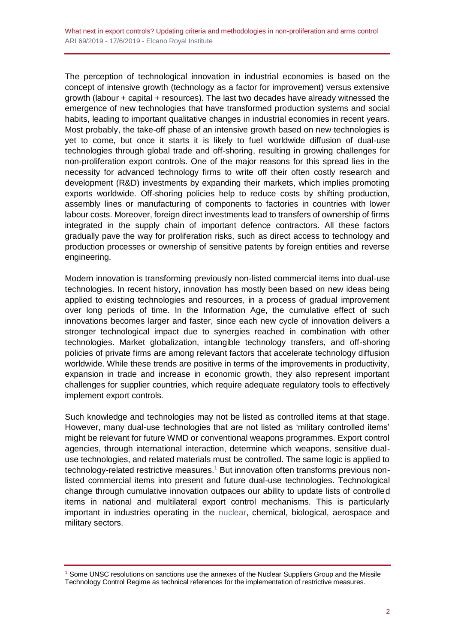The perception of technological innovation in industrial economies is based on the concept of intensive growth (technology as a factor for improvement) versus extensive growth (labour + capital + resources). The last two decades have already witnessed the emergence of new technologies that have transformed production systems and social habits, leading to important qualitative changes in industrial economies in recent years. Most probably, the take-off phase of an intensive growth based on new technologies is yet to come, but once it starts it is likely to fuel worldwide diffusion of dual-use technologies through global trade and off-shoring, resulting in growing challenges for non-proliferation export controls. One of the major reasons for this spread lies in the necessity for advanced technology firms to write off their often costly research and development (R&D) investments by expanding their markets, which implies promoting exports worldwide. Off-shoring policies help to reduce costs by shifting production, assembly lines or manufacturing of components to factories in countries with lower labour costs. Moreover, foreign direct investments lead to transfers of ownership of firms integrated in the supply chain of important defence contractors. All these factors gradually pave the way for proliferation risks, such as direct access to technology and production processes or ownership of sensitive patents by foreign entities and reverse engineering.

Modern innovation is transforming previously non-listed commercial items into dual-use technologies. In recent history, innovation has mostly been based on new ideas being applied to existing technologies and resources, in a process of gradual improvement over long periods of time. In the Information Age, the cumulative effect of such innovations becomes larger and faster, since each new cycle of innovation delivers a stronger technological impact due to synergies reached in combination with other technologies. Market globalization, intangible technology transfers, and off-shoring policies of private firms are among relevant factors that accelerate technology diffusion worldwide. While these trends are positive in terms of the improvements in productivity, expansion in trade and increase in economic growth, they also represent important challenges for supplier countries, which require adequate regulatory tools to effectively implement export controls.

Such knowledge and technologies may not be listed as controlled items at that stage. However, many dual-use technologies that are not listed as 'military controlled items' might be relevant for future WMD or conventional weapons programmes. Export control agencies, through international interaction, determine which weapons, sensitive dualuse technologies, and related materials must be controlled. The same logic is applied to technology-related restrictive measures.<sup>1</sup> But innovation often transforms previous nonlisted commercial items into present and future dual-use technologies. Technological change through cumulative innovation outpaces our ability to update lists of controlled items in national and multilateral export control mechanisms. This is particularly important in industries operating in the [nuclear,](https://blog.realinstitutoelcano.org/con-las-armas-nucleares-no-se-juega/) chemical, biological, aerospace and military sectors.

<sup>&</sup>lt;sup>1</sup> Some UNSC resolutions on sanctions use the annexes of the Nuclear Suppliers Group and the Missile

Technology Control Regime as technical references for the implementation of restrictive measures.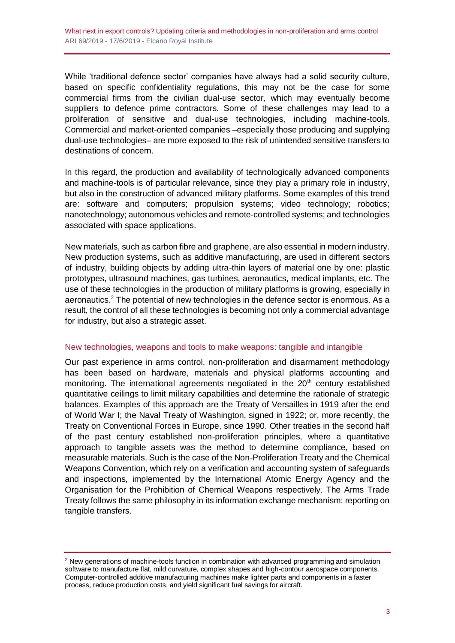While 'traditional defence sector' companies have always had a solid security culture, based on specific confidentiality regulations, this may not be the case for some commercial firms from the civilian dual-use sector, which may eventually become suppliers to defence prime contractors. Some of these challenges may lead to a proliferation of sensitive and dual-use technologies, including machine-tools. Commercial and market-oriented companies –especially those producing and supplying dual-use technologies– are more exposed to the risk of unintended sensitive transfers to destinations of concern.

In this regard, the production and availability of technologically advanced components and machine-tools is of particular relevance, since they play a primary role in industry, but also in the construction of advanced military platforms. Some examples of this trend are: software and computers; propulsion systems; video technology; robotics; nanotechnology; autonomous vehicles and remote-controlled systems; and technologies associated with space applications.

New materials, such as carbon fibre and graphene, are also essential in modern industry. New production systems, such as additive manufacturing, are used in different sectors of industry, building objects by adding ultra-thin layers of material one by one: plastic prototypes, ultrasound machines, gas turbines, aeronautics, medical implants, etc. The use of these technologies in the production of military platforms is growing, especially in aeronautics.<sup>2</sup> The potential of new technologies in the defence sector is enormous. As a result, the control of all these technologies is becoming not only a commercial advantage for industry, but also a strategic asset.

#### New technologies, weapons and tools to make weapons: tangible and intangible

Our past experience in arms control, non-proliferation and disarmament methodology has been based on hardware, materials and physical platforms accounting and monitoring. The international agreements negotiated in the 20<sup>th</sup> century established quantitative ceilings to limit military capabilities and determine the rationale of strategic balances. Examples of this approach are the Treaty of Versailles in 1919 after the end of World War I; the Naval Treaty of Washington, signed in 1922; or, more recently, the Treaty on Conventional Forces in Europe, since 1990. Other treaties in the second half of the past century established non-proliferation principles, where a quantitative approach to tangible assets was the method to determine compliance, based on measurable materials. Such is the case of the Non-Proliferation Treaty and the Chemical Weapons Convention, which rely on a verification and accounting system of safeguards and inspections, implemented by the International Atomic Energy Agency and the Organisation for the Prohibition of Chemical Weapons respectively. The Arms Trade Treaty follows the same philosophy in its information exchange mechanism: reporting on tangible transfers.

 $2$  New generations of machine-tools function in combination with advanced programming and simulation software to manufacture flat, mild curvature, complex shapes and high-contour aerospace components. Computer-controlled additive manufacturing machines make lighter parts and components in a faster process, reduce production costs, and yield significant fuel savings for aircraft.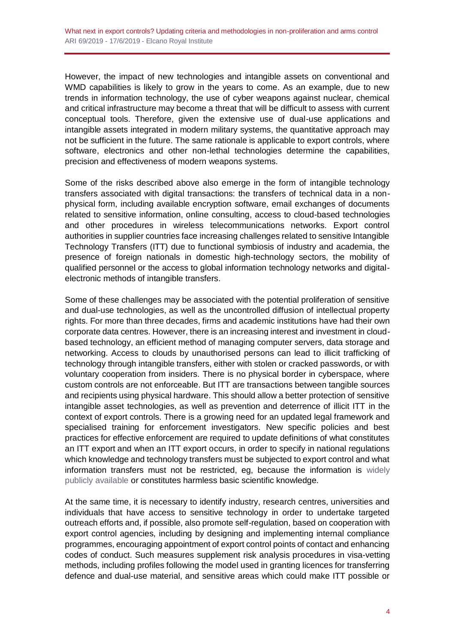However, the impact of new technologies and intangible assets on conventional and WMD capabilities is likely to grow in the years to come. As an example, due to new trends in information technology, the use of cyber weapons against nuclear, chemical and critical infrastructure may become a threat that will be difficult to assess with current conceptual tools. Therefore, given the extensive use of dual-use applications and intangible assets integrated in modern military systems, the quantitative approach may not be sufficient in the future. The same rationale is applicable to export controls, where software, electronics and other non-lethal technologies determine the capabilities, precision and effectiveness of modern weapons systems.

Some of the risks described above also emerge in the form of intangible technology transfers associated with digital transactions: the transfers of technical data in a nonphysical form, including available encryption software, email exchanges of documents related to sensitive information, online consulting, access to cloud-based technologies and other procedures in wireless telecommunications networks. Export control authorities in supplier countries face increasing challenges related to sensitive Intangible Technology Transfers (ITT) due to functional symbiosis of industry and academia, the presence of foreign nationals in domestic high-technology sectors, the mobility of qualified personnel or the access to global information technology networks and digitalelectronic methods of intangible transfers.

Some of these challenges may be associated with the potential proliferation of sensitive and dual-use technologies, as well as the uncontrolled diffusion of intellectual property rights. For more than three decades, firms and academic institutions have had their own corporate data centres. However, there is an increasing interest and investment in cloudbased technology, an efficient method of managing computer servers, data storage and networking. Access to clouds by unauthorised persons can lead to illicit trafficking of technology through intangible transfers, either with stolen or cracked passwords, or with voluntary cooperation from insiders. There is no physical border in cyberspace, where custom controls are not enforceable. But ITT are transactions between tangible sources and recipients using physical hardware. This should allow a better protection of sensitive intangible asset technologies, as well as prevention and deterrence of illicit ITT in the context of export controls. There is a growing need for an updated legal framework and specialised training for enforcement investigators. New specific policies and best practices for effective enforcement are required to update definitions of what constitutes an ITT export and when an ITT export occurs, in order to specify in national regulations which knowledge and technology transfers must be subjected to export control and what information transfers must not be restricted, eg, because the information is [widely](http://www.realinstitutoelcano.org/wps/portal/rielcano_es/contenido?WCM_GLOBAL_CONTEXT=/elcano/elcano_es/zonas_es/defensa+y+seguridad/ari74-2018-alonsolecuit-impacto-nuevas-tecnologias-interceptacion-telecomunicaciones)  [publicly available](http://www.realinstitutoelcano.org/wps/portal/rielcano_es/contenido?WCM_GLOBAL_CONTEXT=/elcano/elcano_es/zonas_es/defensa+y+seguridad/ari74-2018-alonsolecuit-impacto-nuevas-tecnologias-interceptacion-telecomunicaciones) or constitutes harmless basic scientific knowledge.

At the same time, it is necessary to identify industry, research centres, universities and individuals that have access to sensitive technology in order to undertake targeted outreach efforts and, if possible, also promote self-regulation, based on cooperation with export control agencies, including by designing and implementing internal compliance programmes, encouraging appointment of export control points of contact and enhancing codes of conduct. Such measures supplement risk analysis procedures in visa-vetting methods, including profiles following the model used in granting licences for transferring defence and dual-use material, and sensitive areas which could make ITT possible or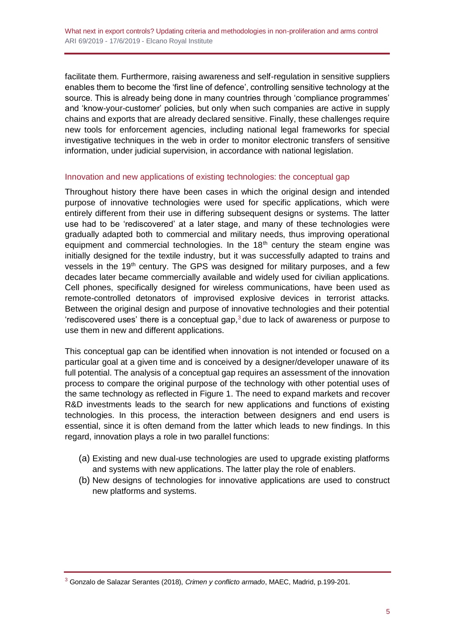facilitate them. Furthermore, raising awareness and self-regulation in sensitive suppliers enables them to become the 'first line of defence', controlling sensitive technology at the source. This is already being done in many countries through 'compliance programmes' and 'know-your-customer' policies, but only when such companies are active in supply chains and exports that are already declared sensitive. Finally, these challenges require new tools for enforcement agencies, including national legal frameworks for special investigative techniques in the web in order to monitor electronic transfers of sensitive information, under judicial supervision, in accordance with national legislation.

## Innovation and new applications of existing technologies: the conceptual gap

Throughout history there have been cases in which the original design and intended purpose of innovative technologies were used for specific applications, which were entirely different from their use in differing subsequent designs or systems. The latter use had to be 'rediscovered' at a later stage, and many of these technologies were gradually adapted both to commercial and military needs, thus improving operational equipment and commercial technologies. In the  $18<sup>th</sup>$  century the steam engine was initially designed for the textile industry, but it was successfully adapted to trains and vessels in the 19<sup>th</sup> century. The GPS was designed for military purposes, and a few decades later became commercially available and widely used for civilian applications. Cell phones, specifically designed for wireless communications, have been used as remote-controlled detonators of improvised explosive devices in terrorist attacks. Between the original design and purpose of innovative technologies and their potential 'rediscovered uses' there is a conceptual gap, $3$  due to lack of awareness or purpose to use them in new and different applications.

This conceptual gap can be identified when innovation is not intended or focused on a particular goal at a given time and is conceived by a designer/developer unaware of its full potential. The analysis of a conceptual gap requires an assessment of the innovation process to compare the original purpose of the technology with other potential uses of the same technology as reflected in Figure 1. The need to expand markets and recover R&D investments leads to the search for new applications and functions of existing technologies. In this process, the interaction between designers and end users is essential, since it is often demand from the latter which leads to new findings. In this regard, innovation plays a role in two parallel functions:

- (a) Existing and new dual-use technologies are used to upgrade existing platforms and systems with new applications. The latter play the role of enablers.
- (b) New designs of technologies for innovative applications are used to construct new platforms and systems.

<sup>3</sup> Gonzalo de Salazar Serantes (2018), *Crimen y conflicto armado*, MAEC, Madrid, p.199-201.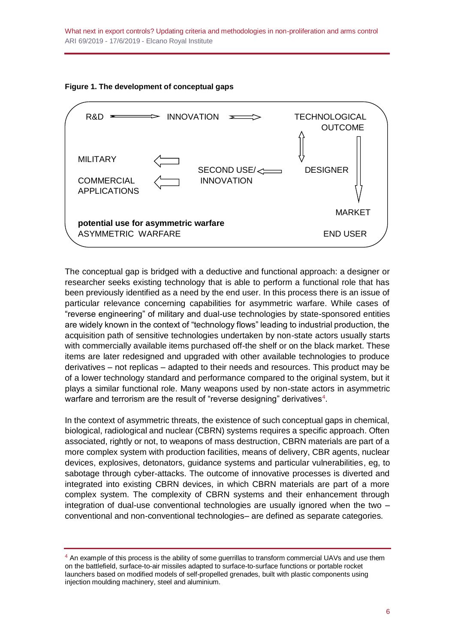What next in export controls? Updating criteria and methodologies in non-proliferation and arms control ARI 69/2019 - 17/6/2019 - Elcano Royal Institute





The conceptual gap is bridged with a deductive and functional approach: a designer or researcher seeks existing technology that is able to perform a functional role that has been previously identified as a need by the end user. In this process there is an issue of particular relevance concerning capabilities for asymmetric warfare. While cases of "reverse engineering" of military and dual-use technologies by state-sponsored entities are widely known in the context of "technology flows" leading to industrial production, the acquisition path of sensitive technologies undertaken by non-state actors usually starts with commercially available items purchased off-the shelf or on the black market. These items are later redesigned and upgraded with other available technologies to produce derivatives – not replicas – adapted to their needs and resources. This product may be of a lower technology standard and performance compared to the original system, but it plays a similar functional role. Many weapons used by non-state actors in asymmetric warfare and terrorism are the result of "reverse designing" derivatives $^4$ .

In the context of asymmetric threats, the existence of such conceptual gaps in chemical, biological, radiological and nuclear (CBRN) systems requires a specific approach. Often associated, rightly or not, to weapons of mass destruction, CBRN materials are part of a more complex system with production facilities, means of delivery, CBR agents, nuclear devices, explosives, detonators, guidance systems and particular vulnerabilities, eg, to sabotage through cyber-attacks. The outcome of innovative processes is diverted and integrated into existing CBRN devices, in which CBRN materials are part of a more complex system. The complexity of CBRN systems and their enhancement through integration of dual-use conventional technologies are usually ignored when the two – conventional and non-conventional technologies– are defined as separate categories.

<sup>&</sup>lt;sup>4</sup> An example of this process is the ability of some guerrillas to transform commercial UAVs and use them on the battlefield, surface-to-air missiles adapted to surface-to-surface functions or portable rocket launchers based on modified models of self-propelled grenades, built with plastic components using injection moulding machinery, steel and aluminium.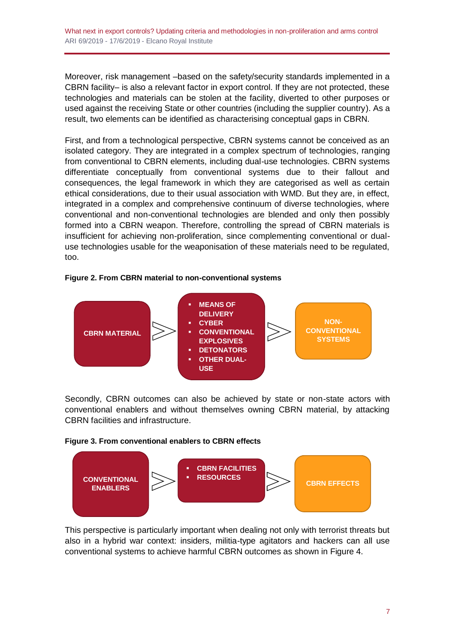What next in export controls? Updating criteria and methodologies in non-proliferation and arms control ARI 69/2019 - 17/6/2019 - Elcano Royal Institute

Moreover, risk management –based on the safety/security standards implemented in a CBRN facility– is also a relevant factor in export control. If they are not protected, these technologies and materials can be stolen at the facility, diverted to other purposes or used against the receiving State or other countries (including the supplier country). As a result, two elements can be identified as characterising conceptual gaps in CBRN.

First, and from a technological perspective, CBRN systems cannot be conceived as an isolated category. They are integrated in a complex spectrum of technologies, ranging from conventional to CBRN elements, including dual-use technologies. CBRN systems differentiate conceptually from conventional systems due to their fallout and consequences, the legal framework in which they are categorised as well as certain ethical considerations, due to their usual association with WMD. But they are, in effect, integrated in a complex and comprehensive continuum of diverse technologies, where conventional and non-conventional technologies are blended and only then possibly formed into a CBRN weapon. Therefore, controlling the spread of CBRN materials is insufficient for achieving non-proliferation, since complementing conventional or dualuse technologies usable for the weaponisation of these materials need to be regulated, too.

#### **Figure 2. From CBRN material to non-conventional systems**



Secondly, CBRN outcomes can also be achieved by state or non-state actors with conventional enablers and without themselves owning CBRN material, by attacking CBRN facilities and infrastructure.





This perspective is particularly important when dealing not only with terrorist threats but also in a hybrid war context: insiders, militia-type agitators and hackers can all use conventional systems to achieve harmful CBRN outcomes as shown in Figure 4.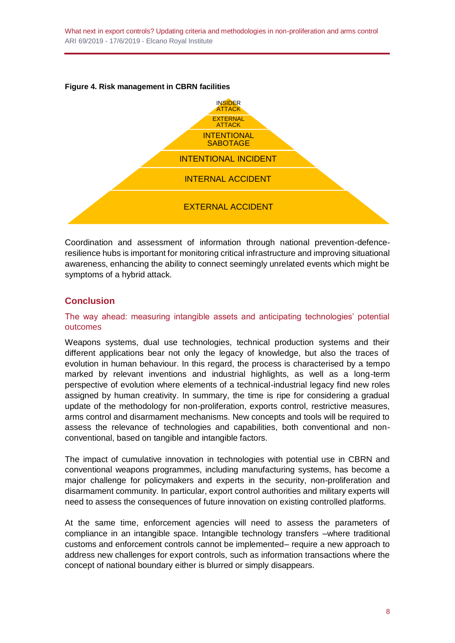What next in export controls? Updating criteria and methodologies in non-proliferation and arms control ARI 69/2019 - 17/6/2019 - Elcano Royal Institute





Coordination and assessment of information through national prevention-defenceresilience hubs is important for monitoring critical infrastructure and improving situational awareness, enhancing the ability to connect seemingly unrelated events which might be symptoms of a hybrid attack.

# **Conclusion**

### The way ahead: measuring intangible assets and anticipating technologies' potential outcomes

Weapons systems, dual use technologies, technical production systems and their different applications bear not only the legacy of knowledge, but also the traces of evolution in human behaviour. In this regard, the process is characterised by a tempo marked by relevant inventions and industrial highlights, as well as a long-term perspective of evolution where elements of a technical-industrial legacy find new roles assigned by human creativity. In summary, the time is ripe for considering a gradual update of the methodology for non-proliferation, exports control, restrictive measures, arms control and disarmament mechanisms. New concepts and tools will be required to assess the relevance of technologies and capabilities, both conventional and nonconventional, based on tangible and intangible factors.

The impact of cumulative innovation in technologies with potential use in CBRN and conventional weapons programmes, including manufacturing systems, has become a major challenge for policymakers and experts in the security, non-proliferation and disarmament community. In particular, export control authorities and military experts will need to assess the consequences of future innovation on existing controlled platforms.

At the same time, enforcement agencies will need to assess the parameters of compliance in an intangible space. Intangible technology transfers –where traditional customs and enforcement controls cannot be implemented– require a new approach to address new challenges for export controls, such as information transactions where the concept of national boundary either is blurred or simply disappears.